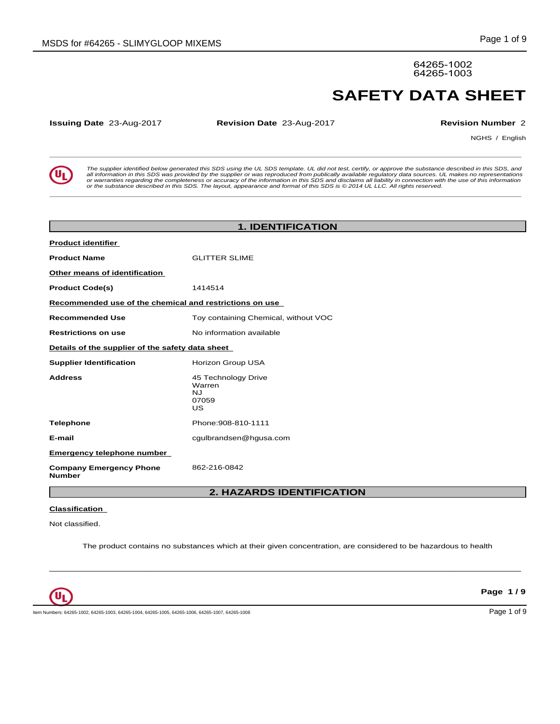64265-1002 64265-1003

**Issuing Date** 23-Aug-2017 **Revision Date** 23-Aug-2017 **Revision Number** 2

NGHS / English

**SAFETY DATA SHEET**<br> **SERVIET ALL SERVIET ALL SERVIET ALL SERVIET ALL SERVIET ALL SERVIET ALL SERVIET ALL SERVIET ALL SERVIET ALL SERVIET ARE SURVIET AND ARRIVE ARE SURVIET AND ARRIVE AND SURVIET AND SURVIET AND SURVIET AN** The supplier identified below generated this SDS using the UL SDS template. UL did not test, certify, or approve the substance described in this SDS, and<br>all information in this SDS was provided by the supplier or was repr

**\_\_\_\_\_\_\_\_\_\_\_\_\_\_\_\_\_\_\_\_\_\_\_\_\_\_\_\_\_\_\_\_\_\_\_\_\_\_\_\_\_\_\_\_\_\_\_\_\_\_\_\_\_\_\_\_\_\_\_\_\_\_\_\_\_\_\_\_\_\_\_\_\_\_\_\_\_\_\_\_\_\_\_\_\_\_\_\_\_\_\_\_\_**

|                                                         | <b>1. IDENTIFICATION</b>                                  |
|---------------------------------------------------------|-----------------------------------------------------------|
| <b>Product identifier</b>                               |                                                           |
| <b>Product Name</b>                                     | <b>GLITTER SLIME</b>                                      |
| Other means of identification                           |                                                           |
| <b>Product Code(s)</b>                                  | 1414514                                                   |
| Recommended use of the chemical and restrictions on use |                                                           |
| <b>Recommended Use</b>                                  | Toy containing Chemical, without VOC                      |
| <b>Restrictions on use</b>                              | No information available                                  |
| Details of the supplier of the safety data sheet        |                                                           |
| <b>Supplier Identification</b>                          | Horizon Group USA                                         |
| <b>Address</b>                                          | 45 Technology Drive<br>Warren<br><b>NJ</b><br>07059<br>US |
| <b>Telephone</b>                                        | Phone: 908-810-1111                                       |
| E-mail                                                  | cgulbrandsen@hgusa.com                                    |
| <b>Emergency telephone number</b>                       |                                                           |
| <b>Company Emergency Phone</b><br><b>Number</b>         | 862-216-0842                                              |
|                                                         | C. UAZARRO IRENTIEIOATIONI                                |

# **2. HAZARDS IDENTIFICATION**

## **Classification**

Not classified.

The product contains no substances which at their given concentration, are considered to be hazardous to health

 $\_$  ,  $\_$  ,  $\_$  ,  $\_$  ,  $\_$  ,  $\_$  ,  $\_$  ,  $\_$  ,  $\_$  ,  $\_$  ,  $\_$  ,  $\_$  ,  $\_$  ,  $\_$  ,  $\_$  ,  $\_$  ,  $\_$  ,  $\_$  ,  $\_$  ,  $\_$  ,  $\_$  ,  $\_$  ,  $\_$  ,  $\_$  ,  $\_$  ,  $\_$  ,  $\_$  ,  $\_$  ,  $\_$  ,  $\_$  ,  $\_$  ,  $\_$  ,  $\_$  ,  $\_$  ,  $\_$  ,  $\_$  ,  $\_$  ,



**Page 1 / 9**

Item Numbers: 64265-1002, 64265-1003, 64265-1004, 64265-1005, 64265-1006, 64265-1007, 64265-1007, 64265-1008 Page 1 of 9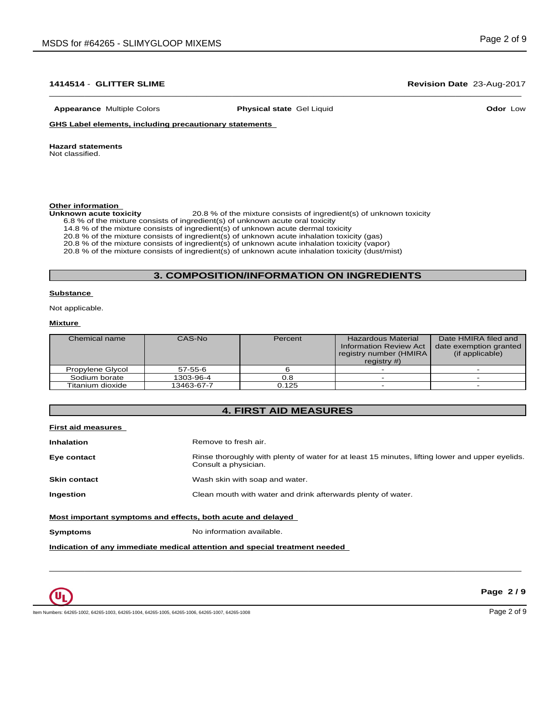# $\_$  ,  $\_$  ,  $\_$  ,  $\_$  ,  $\_$  ,  $\_$  ,  $\_$  ,  $\_$  ,  $\_$  ,  $\_$  ,  $\_$  ,  $\_$  ,  $\_$  ,  $\_$  ,  $\_$  ,  $\_$  ,  $\_$  ,  $\_$  ,  $\_$  ,  $\_$  ,  $\_$  ,  $\_$  ,  $\_$  ,  $\_$  ,  $\_$  ,  $\_$  ,  $\_$  ,  $\_$  ,  $\_$  ,  $\_$  ,  $\_$  ,  $\_$  ,  $\_$  ,  $\_$  ,  $\_$  ,  $\_$  ,  $\_$  ,

**Appearance** Multiple Colors **Physical state** Gel Liquid

**Odor** Low

**GHS Label elements, including precautionary statements**

### **Hazard statements**

Not classified.

# **Other information**<br>Unknown acute toxicity

**Unknown acute toxicity** 20.8 % of the mixtureconsists of ingredient(s) of unknown toxicity

6.8 % of the mixture consists of ingredient(s) of unknown acute oral toxicity

14.8 % of the mixture consists of ingredient(s) of unknown acute dermal toxicity

20.8 % of the mixture consists of ingredient(s) ofunknown acute inhalation toxicity (gas)

20.8 % of the mixture consists of ingredient(s) of unknown acute inhalation toxicity (vapor)

20.8 % of the mixture consists of ingredient(s) of unknown acute inhalation toxicity (dust/mist)

# **3. COMPOSITION/INFORMATION ON INGREDIENTS**

### **Substance**

Not applicable.

### **Mixture**

| Chemical name    | CAS-No     | Percent | <b>Hazardous Material</b><br><b>Information Review Act</b><br>registry number (HMIRA<br>registry $#$ ) | Date HMIRA filed and<br>date exemption granted<br>(if applicable) |
|------------------|------------|---------|--------------------------------------------------------------------------------------------------------|-------------------------------------------------------------------|
| Propylene Glycol | 57-55-6    |         |                                                                                                        |                                                                   |
| Sodium borate    | 1303-96-4  | 0.8     |                                                                                                        |                                                                   |
| Titanium dioxide | 13463-67-7 | 0.125   |                                                                                                        |                                                                   |

# **4. FIRST AID MEASURES**

| <b>First aid measures</b>                                   |                                                                                                                         |
|-------------------------------------------------------------|-------------------------------------------------------------------------------------------------------------------------|
| <b>Inhalation</b>                                           | Remove to fresh air.                                                                                                    |
| Eye contact                                                 | Rinse thoroughly with plenty of water for at least 15 minutes, lifting lower and upper eyelids.<br>Consult a physician. |
| <b>Skin contact</b>                                         | Wash skin with soap and water.                                                                                          |
| Ingestion                                                   | Clean mouth with water and drink afterwards plenty of water.                                                            |
| Most important symptoms and effects, both acute and delayed |                                                                                                                         |
| Symptoms                                                    | No information available.                                                                                               |

 $\bot$  , and the contribution of the contribution of the contribution of the contribution of the contribution of  $\bot$ 

**Indication of any immediate medical attention and special treatment needed**



**Page 2 / 9**

Item Numbers: 64265-1002, 64265-1003, 64265-1004, 64265-1005, 64265-1006, 64265-1007, 64265-1008 Page 2 of 9 Page 2 of 9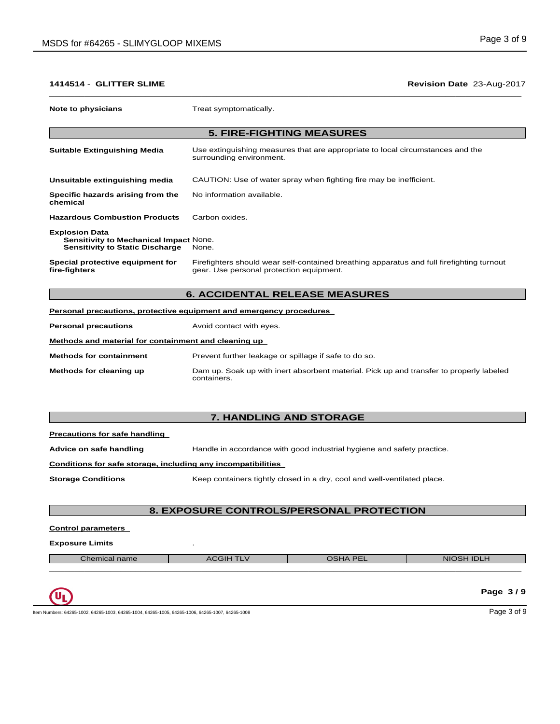| Note to physicians                                                                                               | Treat symptomatically.                                                                                                                |
|------------------------------------------------------------------------------------------------------------------|---------------------------------------------------------------------------------------------------------------------------------------|
|                                                                                                                  |                                                                                                                                       |
|                                                                                                                  | <b>5. FIRE-FIGHTING MEASURES</b>                                                                                                      |
| <b>Suitable Extinguishing Media</b>                                                                              | Use extinguishing measures that are appropriate to local circumstances and the<br>surrounding environment.                            |
| Unsuitable extinguishing media                                                                                   | CAUTION: Use of water spray when fighting fire may be inefficient.                                                                    |
| Specific hazards arising from the<br>chemical                                                                    | No information available.                                                                                                             |
| <b>Hazardous Combustion Products</b>                                                                             | Carbon oxides.                                                                                                                        |
| <b>Explosion Data</b><br><b>Sensitivity to Mechanical Impact None.</b><br><b>Sensitivity to Static Discharge</b> | None.                                                                                                                                 |
| Special protective equipment for<br>fire-fighters                                                                | Firefighters should wear self-contained breathing apparatus and full firefighting turnout<br>gear. Use personal protection equipment. |

# **6. ACCIDENTAL RELEASE MEASURES**

|                                                      | Personal precautions, protective equipment and emergency procedures                                    |
|------------------------------------------------------|--------------------------------------------------------------------------------------------------------|
| <b>Personal precautions</b>                          | Avoid contact with eyes.                                                                               |
| Methods and material for containment and cleaning up |                                                                                                        |
| <b>Methods for containment</b>                       | Prevent further leakage or spillage if safe to do so.                                                  |
| Methods for cleaning up                              | Dam up. Soak up with inert absorbent material. Pick up and transfer to properly labeled<br>containers. |

# **7. HANDLING AND STORAGE**

| Precautions for safe handling |
|-------------------------------|
|-------------------------------|

**Advice on safe handling** Handle in accordance with good industrial hygiene and safety practice.

## **Conditions for safe storage, including any incompatibilities**

**Storage Conditions** Keep containers tightly closed in a dry, cool and well-ventilated place.

# **8. EXPOSURE CONTROLS/PERSONAL PROTECTION**

**Control parameters**

# **Exposure Limits** .

| Chemical name | רוט∪ר<br>-- | $\sqrt{P}$<br>$\sqrt{ }$ | ---<br><b>NIC</b><br>$\sim$<br>IDLF<br>-- |
|---------------|-------------|--------------------------|-------------------------------------------|
|               |             |                          |                                           |

|                                                                                                  | Page 3/9    |
|--------------------------------------------------------------------------------------------------|-------------|
| Item Numbers: 64265-1002, 64265-1003, 64265-1004, 64265-1005, 64265-1006, 64265-1007, 64265-1008 | Page 3 of 9 |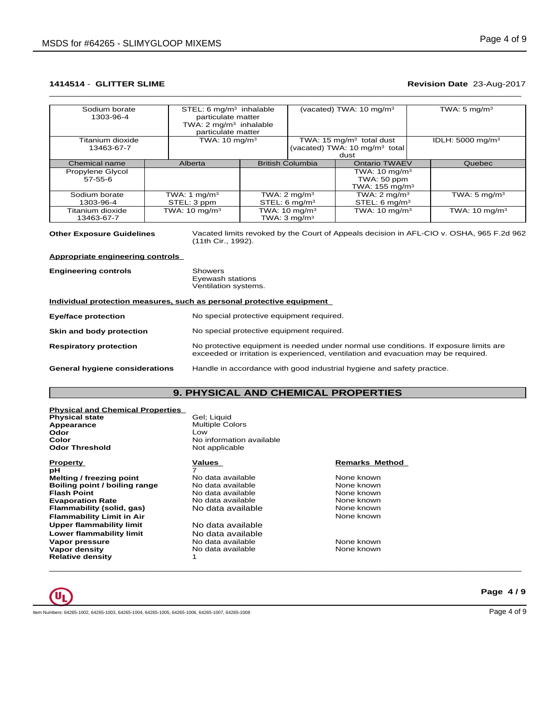# $\_$  ,  $\_$  ,  $\_$  ,  $\_$  ,  $\_$  ,  $\_$  ,  $\_$  ,  $\_$  ,  $\_$  ,  $\_$  ,  $\_$  ,  $\_$  ,  $\_$  ,  $\_$  ,  $\_$  ,  $\_$  ,  $\_$  ,  $\_$  ,  $\_$  ,  $\_$  ,  $\_$  ,  $\_$  ,  $\_$  ,  $\_$  ,  $\_$  ,  $\_$  ,  $\_$  ,  $\_$  ,  $\_$  ,  $\_$  ,  $\_$  ,  $\_$  ,  $\_$  ,  $\_$  ,  $\_$  ,  $\_$  ,  $\_$  ,

| Sodium borate    | STEL: $6 \text{ mg/m}^3$ inhalable |                          | (vacated) TWA: 10 mg/m <sup>3</sup>       | TWA: 5 $mg/m3$               |
|------------------|------------------------------------|--------------------------|-------------------------------------------|------------------------------|
| 1303-96-4        | particulate matter                 |                          |                                           |                              |
|                  | TWA: $2 \text{ mg/m}^3$ inhalable  |                          |                                           |                              |
|                  | particulate matter                 |                          |                                           |                              |
| Titanium dioxide | TWA: $10 \text{ mg/m}^3$           |                          | TWA: 15 $mg/m3$ total dust                | IDLH: 5000 mg/m <sup>3</sup> |
| 13463-67-7       |                                    |                          | (vacated) TWA: 10 mg/m <sup>3</sup> total |                              |
|                  |                                    |                          | dust                                      |                              |
| Chemical name    | Alberta                            | <b>British Columbia</b>  | <b>Ontario TWAEV</b>                      | Quebec                       |
| Propylene Glycol |                                    |                          | TWA: $10 \text{ mg/m}^3$                  |                              |
| $57 - 55 - 6$    |                                    |                          | TWA: 50 ppm                               |                              |
|                  |                                    |                          | TWA: $155 \text{ mg/m}^3$                 |                              |
| Sodium borate    | TWA: 1 mg/m <sup>3</sup>           | TWA: $2 \text{ mg/m}^3$  | TWA: $2 \text{ mg/m}^3$                   | TWA: 5 mg/m <sup>3</sup>     |
| 1303-96-4        | STEL: 3 ppm                        | STEL: 6 $mq/m3$          | STEL: 6 mg/m <sup>3</sup>                 |                              |
| Titanium dioxide | TWA: $10 \text{ mg/m}^3$           | TWA: $10 \text{ mg/m}^3$ | TWA: $10 \text{ mg/m}^3$                  | TWA: $10 \text{ mg/m}^3$     |
| 13463-67-7       |                                    | TWA: $3 \text{ mg/m}^3$  |                                           |                              |

**Other Exposure Guidelines** Vacated limits revoked by the Court of Appeals decision in AFL-CIO v.OSHA, 965 F.2d 962 (11th Cir., 1992).

**Appropriate engineering controls**

| <b>Engineering controls</b>           | Showers<br>Eyewash stations<br>Ventilation systems.                                                                                                                         |
|---------------------------------------|-----------------------------------------------------------------------------------------------------------------------------------------------------------------------------|
|                                       | Individual protection measures, such as personal protective equipment                                                                                                       |
| Eye/face protection                   | No special protective equipment required.                                                                                                                                   |
| Skin and body protection              | No special protective equipment required.                                                                                                                                   |
| <b>Respiratory protection</b>         | No protective equipment is needed under normal use conditions. If exposure limits are<br>exceeded or irritation is experienced, ventilation and evacuation may be required. |
| <b>General hygiene considerations</b> | Handle in accordance with good industrial hygiene and safety practice.                                                                                                      |

# **9. PHYSICAL AND CHEMICAL PROPERTIES**

| <b>Physical and Chemical Properties</b> |                          |                       |  |
|-----------------------------------------|--------------------------|-----------------------|--|
| <b>Physical state</b>                   | Gel; Liquid              |                       |  |
| Appearance                              | <b>Multiple Colors</b>   |                       |  |
| Odor                                    | Low                      |                       |  |
| Color                                   | No information available |                       |  |
| <b>Odor Threshold</b>                   | Not applicable           |                       |  |
| Property                                | Values                   | <b>Remarks Method</b> |  |
| рH                                      |                          |                       |  |
| Melting / freezing point                | No data available        | None known            |  |
| Boiling point / boiling range           | No data available        | None known            |  |
| <b>Flash Point</b>                      | No data available        | None known            |  |
| <b>Evaporation Rate</b>                 | No data available        | None known            |  |
| Flammability (solid, gas)               | No data available        | None known            |  |
| <b>Flammability Limit in Air</b>        |                          | None known            |  |
| Upper flammability limit                | No data available        |                       |  |
| Lower flammability limit                | No data available        |                       |  |
| Vapor pressure                          | No data available        | None known            |  |

 $\bot$  , and the contribution of the contribution of the contribution of the contribution of the contribution of  $\bot$ 

**Vapor density** No data available None known

 $\mathbf{U}_\mathbf{L}$ 

**Relative density** 

Item Numbers: 64265-1002, 64265-1003, 64265-1004, 64265-1005, 64265-1006, 64265-1007, 64265-1008 Page 4 of 9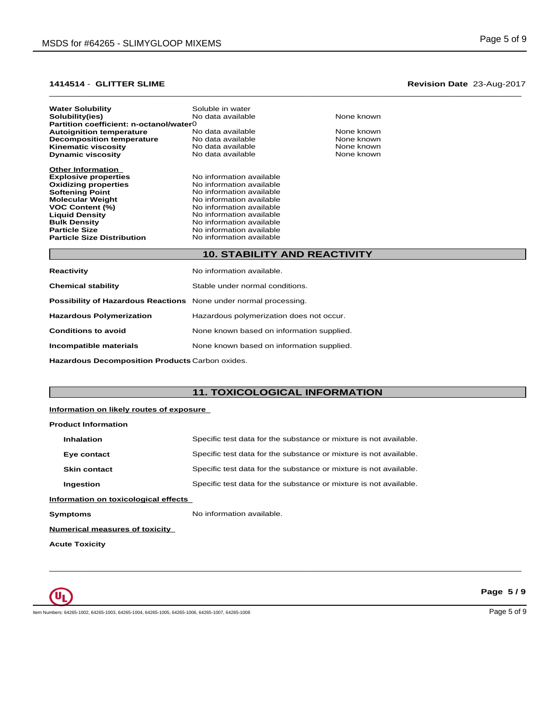### $\_$  ,  $\_$  ,  $\_$  ,  $\_$  ,  $\_$  ,  $\_$  ,  $\_$  ,  $\_$  ,  $\_$  ,  $\_$  ,  $\_$  ,  $\_$  ,  $\_$  ,  $\_$  ,  $\_$  ,  $\_$  ,  $\_$  ,  $\_$  ,  $\_$  ,  $\_$  ,  $\_$  ,  $\_$  ,  $\_$  ,  $\_$  ,  $\_$  ,  $\_$  ,  $\_$  ,  $\_$  ,  $\_$  ,  $\_$  ,  $\_$  ,  $\_$  ,  $\_$  ,  $\_$  ,  $\_$  ,  $\_$  ,  $\_$  , **1414514** - **GLITTER SLIME Revision Date** 23-Aug-2017

| <b>Water Solubility</b>                                                 | Soluble in water                    |            |
|-------------------------------------------------------------------------|-------------------------------------|------------|
| Solubility(ies)                                                         | No data available                   | None known |
| Partition coefficient: n-octanol/water0                                 |                                     |            |
| <b>Autoignition temperature</b>                                         | No data available                   | None known |
| <b>Decomposition temperature</b>                                        | No data available                   | None known |
| <b>Kinematic viscosity</b>                                              | No data available                   | None known |
| <b>Dynamic viscosity</b>                                                | No data available                   | None known |
| <b>Other Information</b>                                                |                                     |            |
| <b>Explosive properties</b>                                             | No information available            |            |
| <b>Oxidizing properties</b>                                             | No information available            |            |
| <b>Softening Point</b>                                                  | No information available            |            |
| <b>Molecular Weight</b>                                                 | No information available            |            |
| <b>VOC Content (%)</b>                                                  | No information available            |            |
| <b>Liquid Density</b>                                                   | No information available            |            |
| <b>Bulk Density</b>                                                     | No information available            |            |
| <b>Particle Size</b>                                                    | No information available            |            |
| <b>Particle Size Distribution</b>                                       | No information available            |            |
|                                                                         | <b>10. STABILITY AND REACTIVITY</b> |            |
|                                                                         |                                     |            |
| Reactivity                                                              | No information available.           |            |
| <b>Chemical stability</b>                                               | Stable under normal conditions.     |            |
|                                                                         |                                     |            |
| <b>Possibility of Hazardous Reactions</b> None under normal processing. |                                     |            |

| <b>Possibility of Hazardous Reactions</b> None under normal processing. |                                           |
|-------------------------------------------------------------------------|-------------------------------------------|
| <b>Hazardous Polymerization</b>                                         | Hazardous polymerization does not occur.  |
| <b>Conditions to avoid</b>                                              | None known based on information supplied. |
| Incompatible materials                                                  | None known based on information supplied. |

**Hazardous Decomposition Products** Carbon oxides.

# **11. TOXICOLOGICAL INFORMATION**

 $\bot$  , and the contribution of the contribution of the contribution of the contribution of the contribution of  $\bot$ 

### **Information on likely routes of exposure**

| <b>Product Information</b>                                                             |                                                                   |  |  |
|----------------------------------------------------------------------------------------|-------------------------------------------------------------------|--|--|
| Specific test data for the substance or mixture is not available.<br><b>Inhalation</b> |                                                                   |  |  |
| Eye contact                                                                            | Specific test data for the substance or mixture is not available. |  |  |
| <b>Skin contact</b>                                                                    | Specific test data for the substance or mixture is not available. |  |  |
| Ingestion                                                                              | Specific test data for the substance or mixture is not available. |  |  |
| Information on toxicological effects                                                   |                                                                   |  |  |
| Symptoms                                                                               | No information available.                                         |  |  |
| <b>Numerical measures of toxicity</b>                                                  |                                                                   |  |  |

**Acute Toxicity**



**Page 5 / 9**

Item Numbers: 64265-1002, 64265-1003, 64265-1004, 64265-1005, 64265-1006, 64265-1007, 64265-1008 Page 5 of 9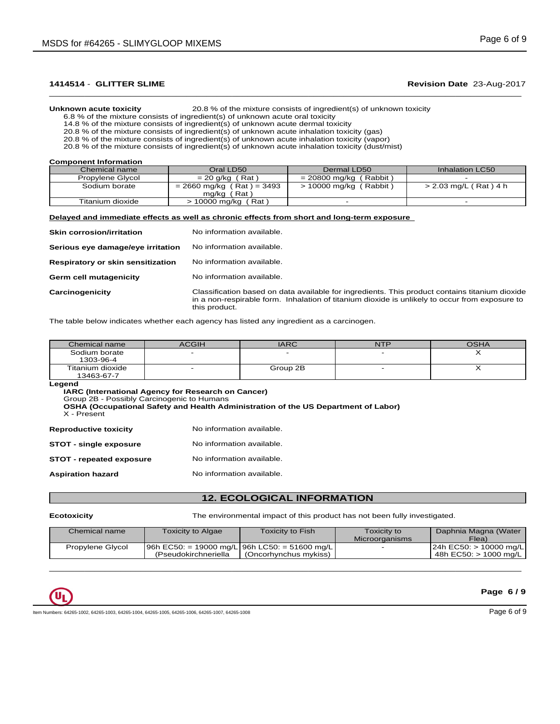# $\_$  ,  $\_$  ,  $\_$  ,  $\_$  ,  $\_$  ,  $\_$  ,  $\_$  ,  $\_$  ,  $\_$  ,  $\_$  ,  $\_$  ,  $\_$  ,  $\_$  ,  $\_$  ,  $\_$  ,  $\_$  ,  $\_$  ,  $\_$  ,  $\_$  ,  $\_$  ,  $\_$  ,  $\_$  ,  $\_$  ,  $\_$  ,  $\_$  ,  $\_$  ,  $\_$  ,  $\_$  ,  $\_$  ,  $\_$  ,  $\_$  ,  $\_$  ,  $\_$  ,  $\_$  ,  $\_$  ,  $\_$  ,  $\_$  ,

**Unknown acute toxicity** 20.8 % of the mixture consists of ingredient(s) of unknown toxicity

6.8 % of the mixture consists of ingredient(s) of unknown acute oral toxicity

14.8 % of the mixture consists of ingredient(s) of unknown acute dermal toxicity

20.8 % of the mixture consists of ingredient(s) of unknown acute inhalation toxicity (gas)

20.8 % of the mixture consists of ingredient(s) of unknown acute inhalation toxicity (vapor)

20.8 % of the mixture consists of ingredient(s) of unknown acute inhalation toxicity (dust/mist)

**Component Information**

| ___              |                             |                          |                       |
|------------------|-----------------------------|--------------------------|-----------------------|
| Chemical name    | Oral LD50                   | Dermal LD50              | Inhalation LC50       |
| Propylene Glycol | $= 20$ g/kg (Rat)           | $= 20800$ mg/kg (Rabbit) |                       |
| Sodium borate    | $= 2660$ mg/kg (Rat) = 3493 | $> 10000$ mg/kg (Rabbit) | > 2.03 mg/L (Rat) 4 h |
|                  | mg/kg (Rat)                 |                          |                       |
| Titanium dioxide | $> 10000$ mg/kg (Rat)       |                          |                       |
|                  |                             |                          |                       |

### **Delayed and immediate effects as well as chronic effects from short and long-term exposure**

| <b>Skin corrosion/irritation</b>  | No information available.                                                                                                                                                                                         |
|-----------------------------------|-------------------------------------------------------------------------------------------------------------------------------------------------------------------------------------------------------------------|
| Serious eye damage/eye irritation | No information available.                                                                                                                                                                                         |
| Respiratory or skin sensitization | No information available.                                                                                                                                                                                         |
| Germ cell mutagenicity            | No information available.                                                                                                                                                                                         |
| Carcinogenicity                   | Classification based on data available for ingredients. This product contains titanium dioxide<br>in a non-respirable form. Inhalation of titanium dioxide is unlikely to occur from exposure to<br>this product. |

The table below indicates whether each agency has listed any ingredient as a carcinogen.

| Chemical name                  | <b>ACGIH</b> | <b>IARC</b> | NTP | OSHA |
|--------------------------------|--------------|-------------|-----|------|
| Sodium borate<br>1303-96-4     |              |             |     |      |
| Titanium dioxide<br>13463-67-7 |              | Group 2B    |     |      |

**Legend**

**IARC (International Agency for Research on Cancer)**

Group 2B - Possibly Carcinogenic to Humans

**OSHA (Occupational Safety and Health Administration of the US Department of Labor)**

X - Present

**Reproductive toxicity** No information available.

| <b>STOT - single exposure</b> | No information available. |  |
|-------------------------------|---------------------------|--|
|-------------------------------|---------------------------|--|

| STOT - repeated exposure | No information available. |  |
|--------------------------|---------------------------|--|
|--------------------------|---------------------------|--|

**Aspiration hazard** No information available.

## **12. ECOLOGICAL INFORMATION**

**Ecotoxicity** The environmental impact of this product has not been fully investigated.

 $\bot$  , and the contribution of the contribution of the contribution of the contribution of the contribution of  $\bot$ 

| Chemical name    | Toxicity to Algae                                | <b>Toxicity to Fish</b> | Toxicity to<br><b>Microorganisms</b> | Daphnia Magna (Water<br>Flea) |
|------------------|--------------------------------------------------|-------------------------|--------------------------------------|-------------------------------|
| Propylene Glycol | $ 96h$ EC50: = 19000 mg/L 96h LC50: = 51600 mg/L |                         |                                      | $ 24h$ EC50: > 10000 mg/L     |
|                  | (Pseudokirchneriella                             | (Oncorhvnchus mykiss)   |                                      | 48h EC50: > 1000 ma/L         |



### **Page 6 / 9**

Item Numbers: 64265-1002, 64265-1003, 64265-1004, 64265-1005, 64265-1006, 64265-1007, 64265-1008 Page 6 of 9 Page 6 of 9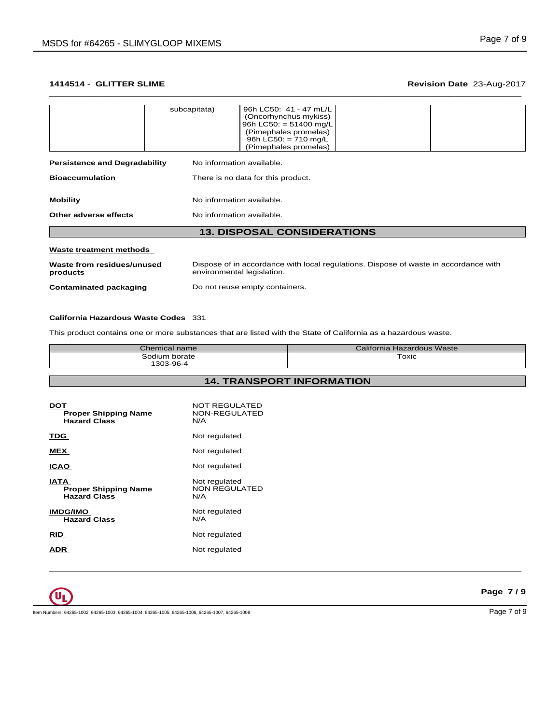# $\_$  ,  $\_$  ,  $\_$  ,  $\_$  ,  $\_$  ,  $\_$  ,  $\_$  ,  $\_$  ,  $\_$  ,  $\_$  ,  $\_$  ,  $\_$  ,  $\_$  ,  $\_$  ,  $\_$  ,  $\_$  ,  $\_$  ,  $\_$  ,  $\_$  ,  $\_$  ,  $\_$  ,  $\_$  ,  $\_$  ,  $\_$  ,  $\_$  ,  $\_$  ,  $\_$  ,  $\_$  ,  $\_$  ,  $\_$  ,  $\_$  ,  $\_$  ,  $\_$  ,  $\_$  ,  $\_$  ,  $\_$  ,  $\_$  ,

| <b>13. DISPOSAL CONSIDERATIONS</b>                                |                           |                                                                                                                                                         |  |
|-------------------------------------------------------------------|---------------------------|---------------------------------------------------------------------------------------------------------------------------------------------------------|--|
| No information available.<br>Other adverse effects                |                           |                                                                                                                                                         |  |
| <b>Mobility</b>                                                   | No information available. |                                                                                                                                                         |  |
| <b>Bioaccumulation</b><br>There is no data for this product.      |                           |                                                                                                                                                         |  |
| <b>Persistence and Degradability</b><br>No information available. |                           |                                                                                                                                                         |  |
|                                                                   | subcapitata)              | 96h LC50: 41 - 47 mL/L<br>(Oncorhynchus mykiss)<br>96h LC50: $= 51400$ mg/L<br>(Pimephales promelas)<br>96h LC50: $= 710$ mg/L<br>(Pimephales promelas) |  |

### **Waste treatment methods**

| Waste from residues/unused | Dispose of in accordance with local regulations. Dispose of waste in accordance with |
|----------------------------|--------------------------------------------------------------------------------------|
| products                   | environmental legislation.                                                           |
| Contaminated packaging     | Do not reuse empty containers.                                                       |

### **California Hazardous Waste Codes** 331

This product contains one or more substances that are listed with the State of California as a hazardous waste.

| Chemical name        | <b>Hazardous Waste</b><br>Jalifornia. |
|----------------------|---------------------------------------|
| <br>Sodium<br>borate | Toxic                                 |
| 1303-96-4            |                                       |

**14. TRANSPORT INFORMATION**

 $\bot$  , and the contribution of the contribution of the contribution of the contribution of the contribution of  $\bot$ 

| DOT<br><b>Proper Shipping Name</b><br><b>Hazard Class</b>         | NOT REGULATED<br>NON-REGULATED<br>N/A        |
|-------------------------------------------------------------------|----------------------------------------------|
| TDG                                                               | Not regulated                                |
| MEX                                                               | Not regulated                                |
| <b>ICAO</b>                                                       | Not regulated                                |
| <b>IATA</b><br><b>Proper Shipping Name</b><br><b>Hazard Class</b> | Not regulated<br><b>NON REGULATED</b><br>N/A |
| <b>IMDG/IMO</b><br><b>Hazard Class</b>                            | Not regulated<br>N/A                         |
| RID                                                               | Not regulated                                |
| ADR                                                               | Not regulated                                |
|                                                                   |                                              |

 $\mathbf{u}_\mathbf{L}$ 

Item Numbers: 64265-1002, 64265-1003, 64265-1004, 64265-1005, 64265-1006, 64265-1007, 64265-1008 Page 7 of 9

**Page 7 / 9**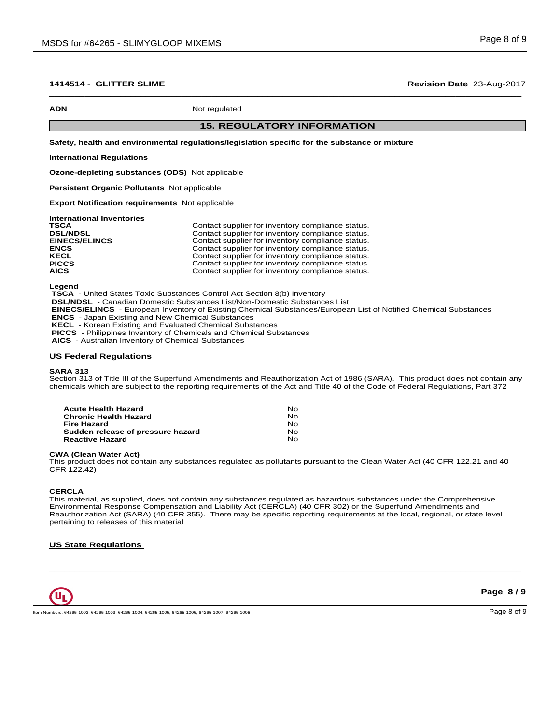### $\_$  ,  $\_$  ,  $\_$  ,  $\_$  ,  $\_$  ,  $\_$  ,  $\_$  ,  $\_$  ,  $\_$  ,  $\_$  ,  $\_$  ,  $\_$  ,  $\_$  ,  $\_$  ,  $\_$  ,  $\_$  ,  $\_$  ,  $\_$  ,  $\_$  ,  $\_$  ,  $\_$  ,  $\_$  ,  $\_$  ,  $\_$  ,  $\_$  ,  $\_$  ,  $\_$  ,  $\_$  ,  $\_$  ,  $\_$  ,  $\_$  ,  $\_$  ,  $\_$  ,  $\_$  ,  $\_$  ,  $\_$  ,  $\_$  , **1414514** - **GLITTER SLIME Revision Date** 23-Aug-2017

**ADN** Not regulated

# **15. REGULATORY INFORMATION**

**Safety, health and environmental regulations/legislation specific for the substance or mixture**

### **International Regulations**

**Ozone-depleting substances (ODS)** Notapplicable

**Persistent Organic Pollutants** Not applicable

**Export Notification requirements** Not applicable

**International Inventories**

| <b>TSCA</b>          | Contact supplier for inventory compliance status. |
|----------------------|---------------------------------------------------|
| <b>DSL/NDSL</b>      | Contact supplier for inventory compliance status. |
| <b>EINECS/ELINCS</b> | Contact supplier for inventory compliance status. |
| <b>ENCS</b>          | Contact supplier for inventory compliance status. |
| <b>KECL</b>          | Contact supplier for inventory compliance status. |
| <b>PICCS</b>         | Contact supplier for inventory compliance status. |
| <b>AICS</b>          | Contact supplier for inventory compliance status. |

**Legend** 

 **TSCA** - United States Toxic Substances Control Act Section 8(b) Inventory

 **DSL/NDSL** - Canadian Domestic Substances List/Non-Domestic Substances List

 **EINECS/ELINCS** - European Inventory of Existing Chemical Substances/European List of Notified Chemical Substances

 **ENCS** - Japan Existing and New Chemical Substances

 **KECL** - Korean Existing and Evaluated Chemical Substances

 **PICCS** - Philippines Inventory of Chemicals and Chemical Substances

 **AICS** - Australian Inventory of Chemical Substances

### **US Federal Regulations**

### **SARA 313**

Section 313 of Title III of the Superfund Amendments and Reauthorization Act of 1986 (SARA). This product does not contain any chemicals which are subject to the reporting requirements of the Act and Title 40 of the Code of Federal Regulations, Part 372

| Acute Health Hazard               | No. |  |
|-----------------------------------|-----|--|
| Chronic Health Hazard             | No. |  |
| Fire Hazard                       | N∩  |  |
| Sudden release of pressure hazard | No. |  |
| Reactive Hazard                   | No  |  |

## **CWA (Clean WaterAct)**

This product does not contain any substances regulated as pollutants pursuant to the Clean Water Act (40 CFR 122.21 and 40 CFR 122.42)

### **CERCLA**

This material, as supplied, does not contain any substances regulated as hazardous substances under the Comprehensive Environmental Response Compensation and Liability Act (CERCLA) (40 CFR 302) or the Superfund Amendments and Reauthorization Act (SARA) (40 CFR 355). There may be specific reporting requirements at the local, regional, or state level pertaining to releases of this material

 $\bot$  , and the contribution of the contribution of the contribution of the contribution of the contribution of  $\bot$ 

### **US State Regulations**



Item Numbers: 64265-1002, 64265-1003, 64265-1004, 64265-1005, 64265-1006, 64265-1007, 64265-1008 Page 8 of 9 Page 8 of 9